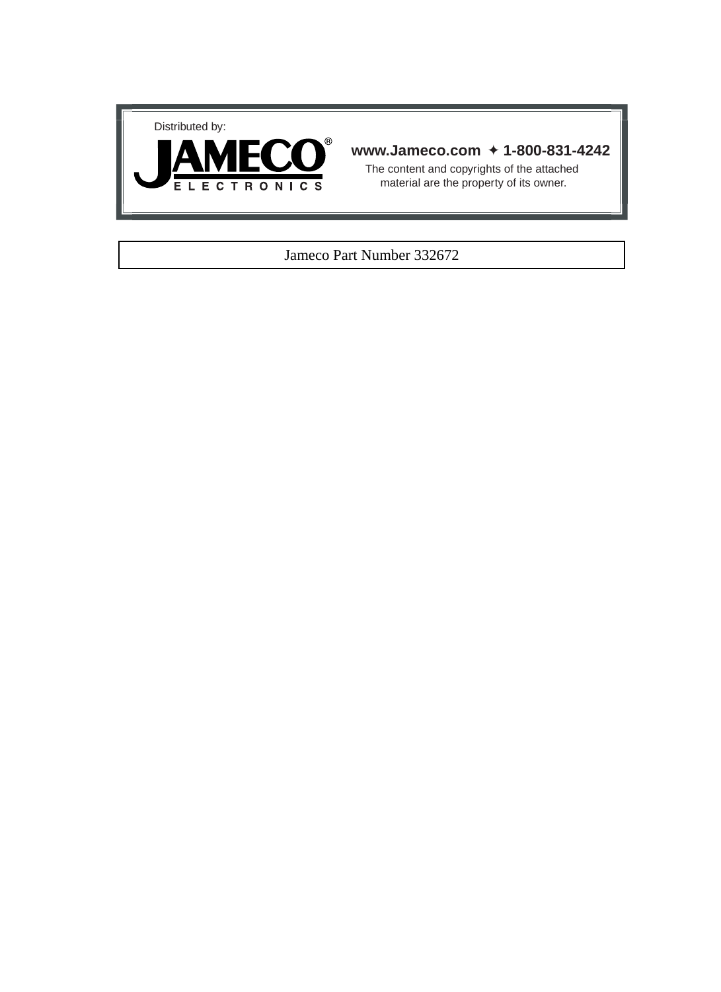



### **www.Jameco.com** ✦ **1-800-831-4242**

The content and copyrights of the attached material are the property of its owner.

### Jameco Part Number 332672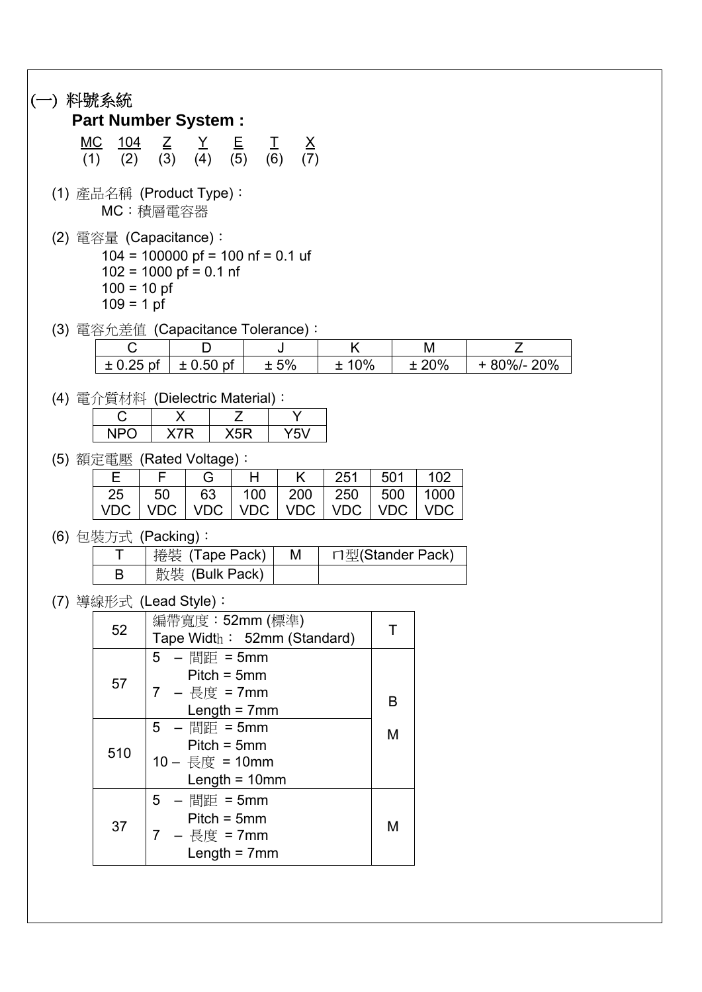|                                                                                         | (一) 料號系統                                                |                                                                                                                        |                             |                                     |                               |            |                         |            |             |  |  |
|-----------------------------------------------------------------------------------------|---------------------------------------------------------|------------------------------------------------------------------------------------------------------------------------|-----------------------------|-------------------------------------|-------------------------------|------------|-------------------------|------------|-------------|--|--|
|                                                                                         | <b>Part Number System:</b><br><u>MC</u><br><u> 104</u>  | $\leq$                                                                                                                 | $\overline{X}$              | $E_{\parallel}$<br>$\frac{1}{(6)}$  | $\frac{\text{X}}{\text{(7)}}$ |            |                         |            |             |  |  |
|                                                                                         | (1)<br>(2)                                              | (3)                                                                                                                    | (4)                         | (5)                                 |                               |            |                         |            |             |  |  |
|                                                                                         | (1) 產品名稱 (Product Type):                                | MC:積層電容器                                                                                                               |                             |                                     |                               |            |                         |            |             |  |  |
|                                                                                         | (2) 電容量 (Capacitance):<br>$100 = 10$ pf<br>$109 = 1$ pf |                                                                                                                        | $102 = 1000$ pf = 0.1 nf    | $104 = 100000$ pf = 100 nf = 0.1 uf |                               |            |                         |            |             |  |  |
|                                                                                         | (3) 電容允差值 (Capacitance Tolerance):                      |                                                                                                                        |                             |                                     |                               |            |                         |            |             |  |  |
|                                                                                         | C                                                       |                                                                                                                        | D                           |                                     | J                             | K          |                         | M          | Z           |  |  |
|                                                                                         | $± 0.25$ pf                                             |                                                                                                                        | $\pm$ 0.50 pf               |                                     | ± 5%                          | ±10%       |                         | ±20%       | + 80%/- 20% |  |  |
| (4) 電介質材料 (Dielectric Material):<br>Y<br>X<br>Ζ<br>С<br>Y5V<br><b>NPO</b><br>X7R<br>X5R |                                                         |                                                                                                                        |                             |                                     |                               |            |                         |            |             |  |  |
|                                                                                         | (5) 額定電壓 (Rated Voltage):<br>Е                          | F                                                                                                                      | G                           | H                                   | K                             | 251        | 501                     | 102        |             |  |  |
|                                                                                         | 25                                                      | 50                                                                                                                     | 63                          | 100                                 | 200                           | 250        | 500                     | 1000       |             |  |  |
|                                                                                         | <b>VDC</b>                                              | <b>VDC</b>                                                                                                             | <b>VDC</b>                  | <b>VDC</b>                          | <b>VDC</b>                    | <b>VDC</b> | <b>VDC</b>              | <b>VDC</b> |             |  |  |
|                                                                                         | (6) 包裝方式 (Packing):                                     |                                                                                                                        |                             |                                     |                               |            |                         |            |             |  |  |
|                                                                                         | Τ                                                       |                                                                                                                        | 捲裝 (Tape Pack)              |                                     | M                             |            | <b>口型(Stander Pack)</b> |            |             |  |  |
|                                                                                         | B                                                       | 散裝                                                                                                                     | (Bulk Pack)                 |                                     |                               |            |                         |            |             |  |  |
|                                                                                         | (7) 導線形式 (Lead Style):                                  |                                                                                                                        |                             |                                     |                               |            |                         |            |             |  |  |
|                                                                                         | 編帶寬度: 52mm (標準)<br>52<br>Tape Width: 52mm (Standard)    |                                                                                                                        |                             |                                     |                               |            | T                       |            |             |  |  |
|                                                                                         |                                                         | 5 - 間距 = 5mm                                                                                                           |                             |                                     |                               |            |                         |            |             |  |  |
|                                                                                         | 57                                                      | $7^{\circ}$                                                                                                            | $Pitch = 5mm$<br>- 長度 = 7mm |                                     |                               |            |                         |            |             |  |  |
|                                                                                         |                                                         | Length $= 7$ mm                                                                                                        |                             |                                     |                               |            | B                       |            |             |  |  |
|                                                                                         |                                                         | 5 - 間距 = 5mm                                                                                                           |                             |                                     |                               | M          |                         |            |             |  |  |
|                                                                                         | 510                                                     | $Pitch = 5mm$<br>10 - 長度 = 10mm<br>Length = $10mm$<br>5 - 間距 = 5mm<br>$Pitch = 5mm$<br>37<br>– 長度 = 7mm<br>$7^{\circ}$ |                             |                                     |                               |            |                         |            |             |  |  |
|                                                                                         |                                                         |                                                                                                                        |                             |                                     |                               |            |                         |            |             |  |  |
|                                                                                         |                                                         |                                                                                                                        |                             |                                     |                               | M          |                         |            |             |  |  |
|                                                                                         |                                                         |                                                                                                                        |                             |                                     |                               |            |                         |            |             |  |  |
|                                                                                         |                                                         |                                                                                                                        |                             |                                     |                               |            |                         |            |             |  |  |
|                                                                                         |                                                         |                                                                                                                        |                             | Length $= 7$ mm                     |                               |            |                         |            |             |  |  |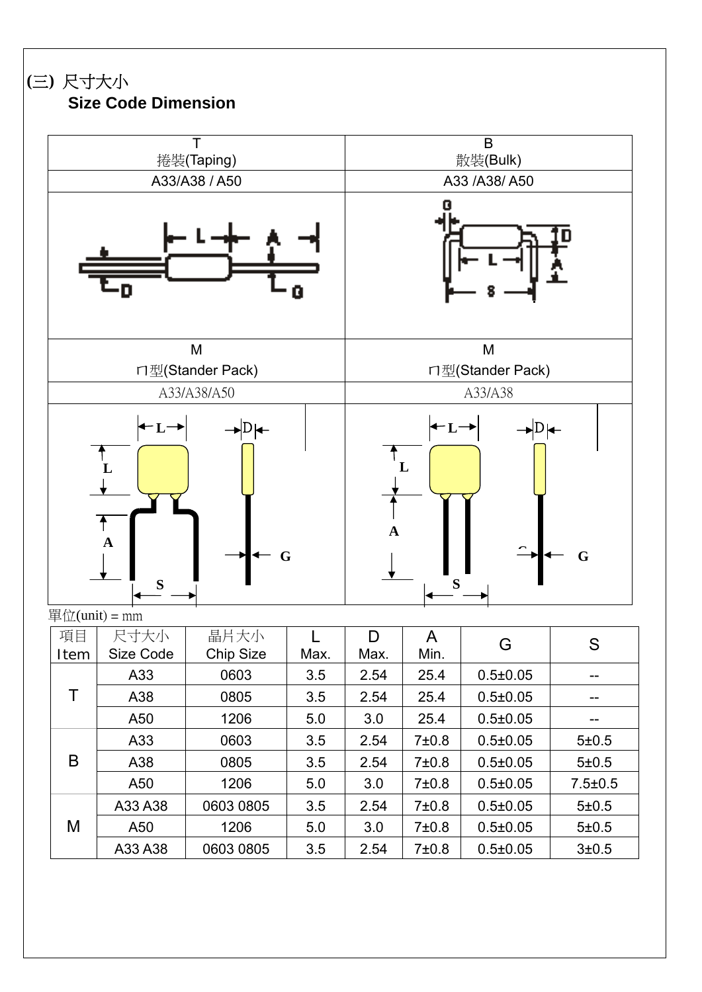**(**三**)** 尺寸大小  **Size Code Dimension** 



## 軍位(unit) = mm

| 項目   | 尺寸大小      | 晶片大小      |      | D    | A     | G              | S             |
|------|-----------|-----------|------|------|-------|----------------|---------------|
| Item | Size Code | Chip Size | Max. | Max. | Min.  |                |               |
|      | A33       | 0603      | 3.5  | 2.54 | 25.4  | $0.5 \pm 0.05$ | --            |
|      | A38       | 0805      | 3.5  | 2.54 | 25.4  | $0.5 \pm 0.05$ |               |
|      | A50       | 1206      | 5.0  | 3.0  | 25.4  | $0.5 \pm 0.05$ |               |
|      | A33       | 0603      | 3.5  | 2.54 | 7±0.8 | $0.5 \pm 0.05$ | 5±0.5         |
| B    | A38       | 0805      | 3.5  | 2.54 | 7±0.8 | $0.5 \pm 0.05$ | 5±0.5         |
|      | A50       | 1206      | 5.0  | 3.0  | 7±0.8 | $0.5 \pm 0.05$ | $7.5 \pm 0.5$ |
|      | A33 A38   | 0603 0805 | 3.5  | 2.54 | 7±0.8 | $0.5 \pm 0.05$ | 5±0.5         |
| M    | A50       | 1206      | 5.0  | 3.0  | 7±0.8 | $0.5 \pm 0.05$ | 5±0.5         |
|      | A33 A38   | 0603 0805 | 3.5  | 2.54 | 7±0.8 | $0.5 \pm 0.05$ | 3±0.5         |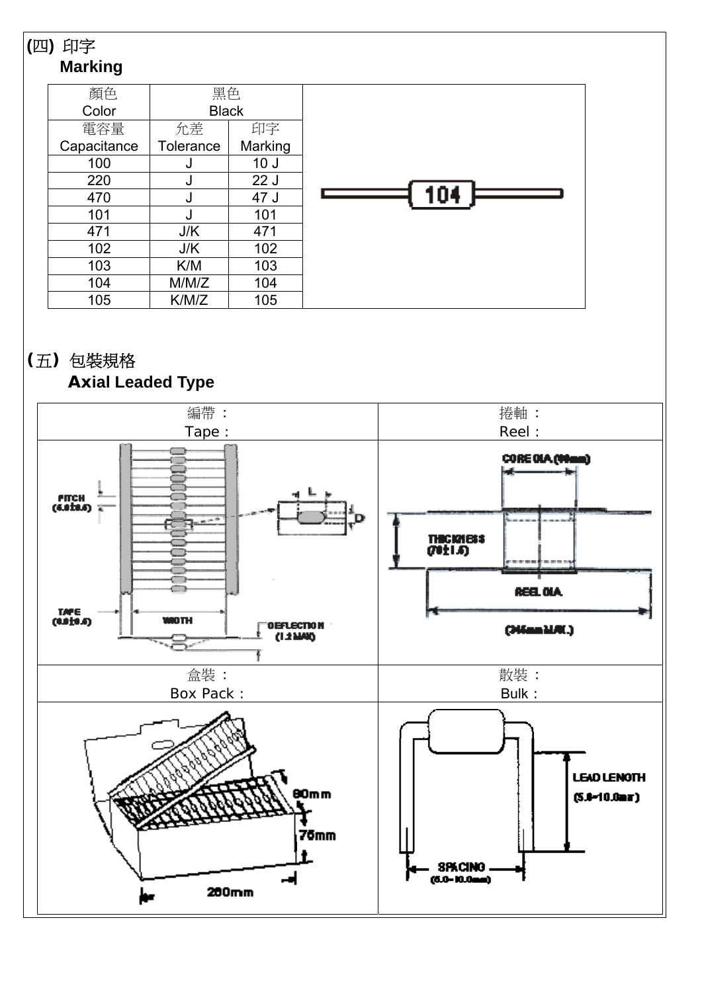#### **(**四**)** 印字  **Marking**  顏色 黑色 Color Black 電容量 允差 印字 **Capacitance** Marking **Tolerance** 100 J 10 J 220 J 22 J 104 470 J 47 J 101 J 101 471 J/K 471 102 | J/K | 102 103 | K/M | 103 104 | M/M/Z | 104 105 | K/M/Z | 105

## **(**五**)** 包裝規格  **Axial Leaded Type**

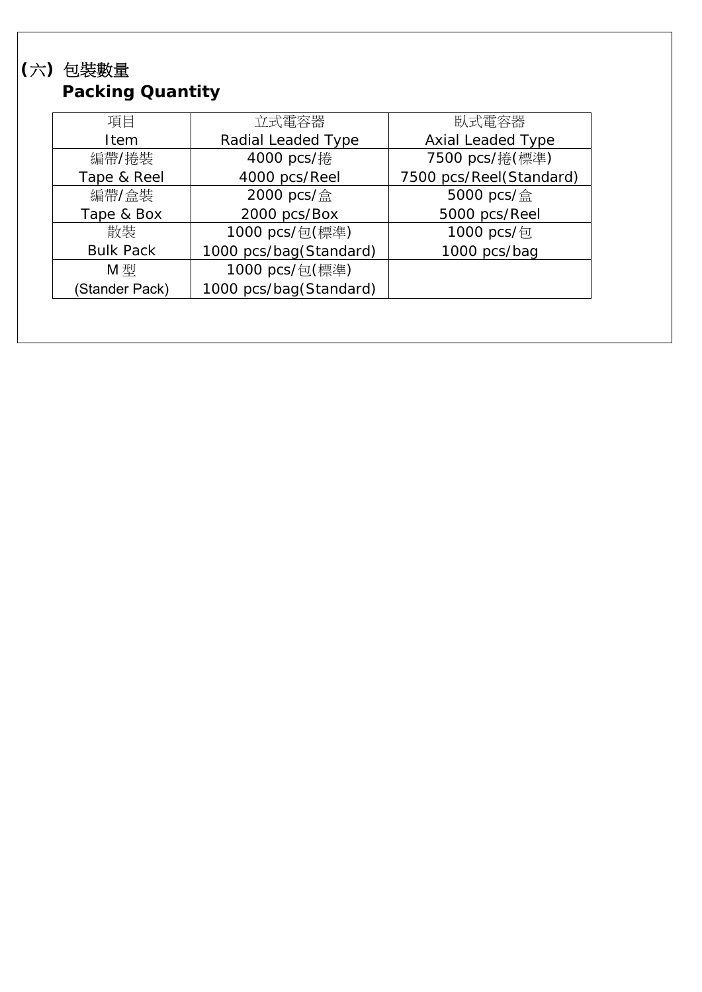**(**六**)** 包裝數量

# **Packing Quantity**

| 項目               | 立式電容器                  | 臥式電容器                    |
|------------------|------------------------|--------------------------|
| Item             | Radial Leaded Type     | <b>Axial Leaded Type</b> |
| 編帶/捲裝            | 4000 pcs/捲             | 7500 pcs/捲(標準)           |
| Tape & Reel      | 4000 pcs/Reel          | 7500 pcs/Reel(Standard)  |
| 編帶/盒裝            | 2000 pcs/盒             | 5000 pcs/盒               |
| Tape & Box       | 2000 pcs/Box           | 5000 pcs/Reel            |
| 散裝               | 1000 pcs/包(標準)         | 1000 pcs/包               |
| <b>Bulk Pack</b> | 1000 pcs/bag(Standard) | 1000 pcs/baq             |
| M型               | 1000 pcs/包(標準)         |                          |
| (Stander Pack)   | 1000 pcs/bag(Standard) |                          |
|                  |                        |                          |
|                  |                        |                          |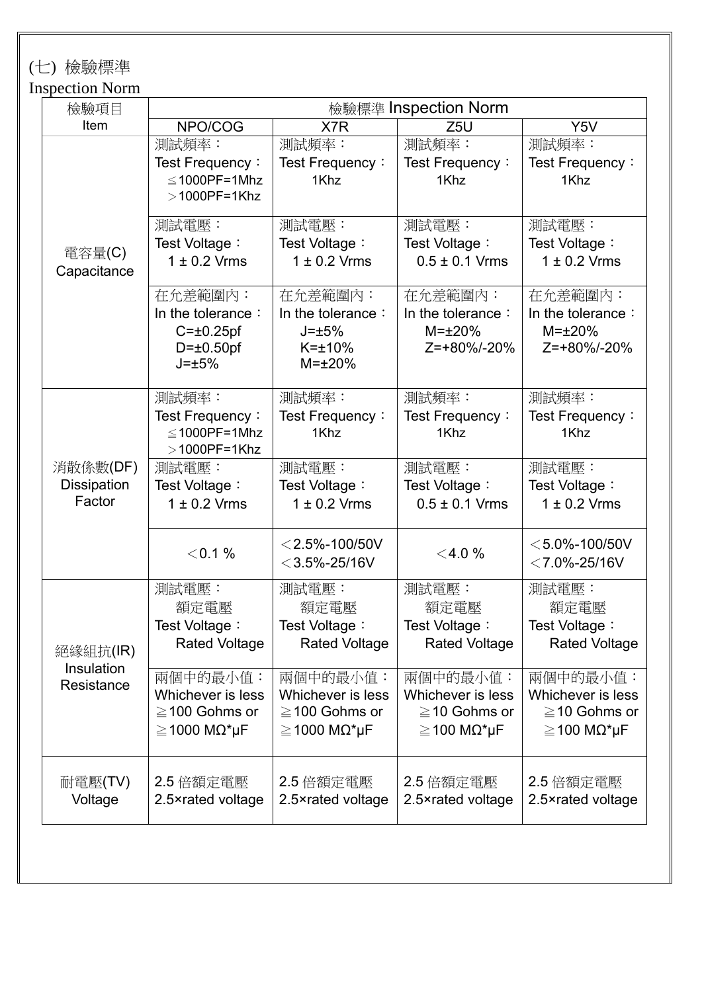# (七) 檢驗標準

# Inspection Norm

| 檢驗項目                              |                                                                                         |                                                                                        | 檢驗標準 Inspection Norm                                                                 |                                                                                      |  |
|-----------------------------------|-----------------------------------------------------------------------------------------|----------------------------------------------------------------------------------------|--------------------------------------------------------------------------------------|--------------------------------------------------------------------------------------|--|
| Item                              | NPO/COG                                                                                 | X7R                                                                                    | Z5U                                                                                  | Y5V                                                                                  |  |
|                                   | 測試頻率:                                                                                   | 測試頻率:                                                                                  | 測試頻率:                                                                                | 測試頻率:                                                                                |  |
|                                   | Test Frequency:<br>$\leq$ 1000PF=1Mhz<br>$>$ 1000PF=1Khz                                | Test Frequency:<br>1Khz                                                                | Test Frequency:<br>1Khz                                                              | Test Frequency:<br>1Khz                                                              |  |
| 電容量(C)<br>Capacitance             | 測試電壓:<br>Test Voltage:<br>$1 \pm 0.2$ Vrms                                              | 測試電壓:<br>Test Voltage:<br>$1 \pm 0.2$ Vrms                                             | 測試電壓:<br>Test Voltage:<br>$0.5 \pm 0.1$ Vrms                                         | 測試電壓:<br>Test Voltage:<br>$1 \pm 0.2$ Vrms                                           |  |
|                                   | 在允差範圍內:<br>In the tolerance:<br>$C = \pm 0.25$ pf<br>$D = \pm 0.50$ pf<br>$J = \pm 5\%$ | 在允差範圍內:<br>In the tolerance:<br>$J=\pm 5\%$<br>$K=+10\%$<br>$M = \pm 20\%$             | 在允差範圍內:<br>In the tolerance:<br>$M = \pm 20\%$<br>Z=+80%/-20%                        | 在允差範圍內:<br>In the tolerance:<br>$M = \pm 20\%$<br>Z=+80%/-20%                        |  |
|                                   | 測試頻率:<br>Test Frequency:<br>$\leq$ 1000PF=1Mhz<br>$>$ 1000PF=1Khz                       | 測試頻率:<br>Test Frequency:<br>1Khz                                                       | 測試頻率:<br>Test Frequency:<br>1Khz                                                     | 測試頻率:<br>Test Frequency:<br>1Khz                                                     |  |
| 消散係數(DF)<br>Dissipation<br>Factor | 測試電壓:<br>Test Voltage:<br>$1 \pm 0.2$ Vrms                                              | 測試電壓:<br>Test Voltage:<br>$1 \pm 0.2$ Vrms                                             | 測試電壓:<br>Test Voltage:<br>$0.5 \pm 0.1$ Vrms                                         | 測試電壓:<br>Test Voltage:<br>$1 \pm 0.2$ Vrms                                           |  |
|                                   | < 0.1 %                                                                                 | $<$ 2.5%-100/50V<br>$<$ 3.5%-25/16V                                                    | $<$ 4.0 %                                                                            | $<$ 5.0%-100/50V<br>$< 7.0\% - 25/16V$                                               |  |
| 絕緣組抗(IR)                          | 測試電壓:<br>額定電壓<br>Test Voltage:<br><b>Rated Voltage</b>                                  | 測試電壓:<br>額定電壓<br>Test Voltage:<br><b>Rated Voltage</b>                                 | 測試電壓:<br>額定電壓<br>Test Voltage:<br><b>Rated Voltage</b>                               | 測試電壓:<br>額定電壓<br>Test Voltage:<br><b>Rated Voltage</b>                               |  |
| Insulation<br>Resistance          | 兩個中的最小值:<br>Whichever is less<br>$\geq$ 100 Gohms or<br>$\geq$ 1000 M $\Omega^* \mu F$  | 兩個中的最小值:<br>Whichever is less<br>$\geq$ 100 Gohms or<br>$\geq$ 1000 M $\Omega^* \mu F$ | 兩個中的最小值:<br>Whichever is less<br>$\geq$ 10 Gohms or<br>$\geq$ 100 M $\Omega^* \mu F$ | 兩個中的最小值:<br>Whichever is less<br>$\geq$ 10 Gohms or<br>$\geq$ 100 M $\Omega^* \mu F$ |  |
| 耐電壓(TV)<br>Voltage                | 2.5 倍額定電壓<br>2.5×rated voltage                                                          | 2.5 倍額定電壓<br>2.5×rated voltage                                                         | 2.5 倍額定電壓<br>2.5×rated voltage                                                       | 2.5 倍額定電壓<br>2.5×rated voltage                                                       |  |
|                                   |                                                                                         |                                                                                        |                                                                                      |                                                                                      |  |